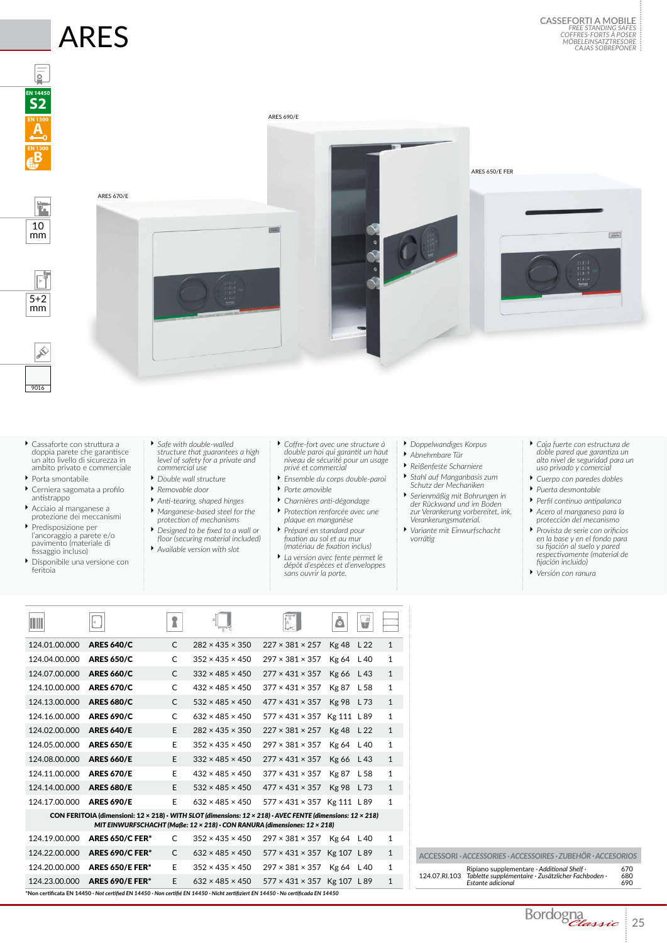## ARES



- Ì Cassaforte con struttura a doppia parete che garantisce un alto livello di sicurezza in ambito privato e commerciale
- Ì Porta smontabile
- Ì Cerniera sagomata a profilo antistrappo
- Ì Acciaio al manganese a protezione dei meccanismi
- Ì Predisposizione per l'ancoraggio a parete e/o pavimento (materiale di fissaggio incluso)
- Ì Disponibile una versione con feritoia
- Ì *Safe with double-walled structure that guarantees a high level of safety for a private and commercial use*
- Ì *Double wall structure*
- Ì *Removable door*
- Ì *Anti-tearing, shaped hinges*
- Ì *Manganese-based steel for the protection of mechanisms* Ì *Designed to be fixed to a wall or*
- *floor (securing material included)* Ì *Available version with slot*
- 
- Ì *Coffre-fort avec une structure à double paroi qui garantit un haut niveau de sécurité pour un usage privé et commercial*
- Ì *Ensemble du corps double-paroi* Ì *Porte amovible*
- Ì *Charnières anti-dégondage*
- Ì *Protection renforcée avec une plaque en manganèse*
- Ì *Préparé en standard pour fixation au sol et au mur (matériau de fixation inclus)*
- Ì *La version avec fente permet le dépôt d'espèces et d'enveloppes sans ouvrir la porte.*
- Ì *Doppelwandiges Korpus*
- Ì *Abnehmbare Tür*
- Ì *Reißenfeste Scharniere* Ì *Stahl auf Manganbasis zum Schutz der Mechaniken*
- Ì *Serienmäßig mit Bohrungen in der Rückwand und im Boden zur Verankerung vorbereitet, ink. Verankerungsmaterial.*
- Ì *Variante mit Einwurfschacht vorrätig*
- Ì *Caja fuerte con estructura de doble pared que garantiza un alto nivel de seguridad para un uso privado y comercial*
- Ì *Cuerpo con paredes dobles*
- Ì *Puerta desmontable*
- Ì *Perfil continuo antipalanca*
- Ì *Acero al manganeso para la protección del mecanismo*
- Ì *Provista de serie con orificios en la base y en el fondo para su fijación al suelo y pared respectivamente (material de fijación incluido)*
- Ì *Versión con ranura*

| W                                                                                                                                                                                                      |                                                                                                                                                               |              |                             |                                    | å            | J               |              |  |  |  |
|--------------------------------------------------------------------------------------------------------------------------------------------------------------------------------------------------------|---------------------------------------------------------------------------------------------------------------------------------------------------------------|--------------|-----------------------------|------------------------------------|--------------|-----------------|--------------|--|--|--|
| 124.01.00.000                                                                                                                                                                                          | <b>ARES 640/C</b>                                                                                                                                             | C            | $282 \times 435 \times 350$ | $227 \times 381 \times 257$        | <b>Kg 48</b> | L <sub>22</sub> | $\mathbf{1}$ |  |  |  |
| 124.04.00.000                                                                                                                                                                                          | <b>ARES 650/C</b>                                                                                                                                             | C            | $352 \times 435 \times 450$ | $297 \times 381 \times 357$        | Kg 64        | L40             | 1            |  |  |  |
| 124.07.00.000                                                                                                                                                                                          | <b>ARES 660/C</b>                                                                                                                                             | C            | $332 \times 485 \times 450$ | $277 \times 431 \times 357$        | Kg 66        | L 43            | $\mathbf{1}$ |  |  |  |
| 124.10.00.000                                                                                                                                                                                          | <b>ARES 670/C</b>                                                                                                                                             | C            | $432 \times 485 \times 450$ | $377 \times 431 \times 357$        | <b>Kg 87</b> | L 58            | 1            |  |  |  |
| 124.13.00.000                                                                                                                                                                                          | <b>ARES 680/C</b>                                                                                                                                             | C            | $532 \times 485 \times 450$ | $477 \times 431 \times 357$        | <b>Kg 98</b> | L 73            | $\mathbf{1}$ |  |  |  |
| 124.16.00.000                                                                                                                                                                                          | <b>ARES 690/C</b>                                                                                                                                             | C            | $632 \times 485 \times 450$ | $577 \times 431 \times 357$        | Kg 111 L 89  |                 | 1            |  |  |  |
| 124.02.00.000                                                                                                                                                                                          | <b>ARES 640/E</b>                                                                                                                                             | E            | $282 \times 435 \times 350$ | $227 \times 381 \times 257$        | Kg 48        | L <sub>22</sub> | $\mathbf{1}$ |  |  |  |
| 124.05.00.000                                                                                                                                                                                          | <b>ARES 650/E</b>                                                                                                                                             | E            | $352 \times 435 \times 450$ | $297 \times 381 \times 357$        | Kg 64        | L 40            | 1            |  |  |  |
| 124.08.00.000                                                                                                                                                                                          | <b>ARES 660/E</b>                                                                                                                                             | F            | $332 \times 485 \times 450$ | $277 \times 431 \times 357$        | Kg 66        | L43             | $\mathbf{1}$ |  |  |  |
| 124.11.00.000                                                                                                                                                                                          | <b>ARES 670/E</b>                                                                                                                                             | E            | $432 \times 485 \times 450$ | $377 \times 431 \times 357$        | <b>Kg 87</b> | L 58            | $\mathbf{1}$ |  |  |  |
| 124.14.00.000                                                                                                                                                                                          | <b>ARES 680/E</b>                                                                                                                                             | E            | $532 \times 485 \times 450$ | $477 \times 431 \times 357$        | <b>Kg 98</b> | L73             | $\mathbf{1}$ |  |  |  |
| 124.17.00.000                                                                                                                                                                                          | <b>ARES 690/E</b>                                                                                                                                             | E            | $632 \times 485 \times 450$ | $577 \times 431 \times 357$        | Kg 111 L 89  |                 | $\mathbf{1}$ |  |  |  |
| CON FERITOIA (dimensioni: 12 × 218) · WITH SLOT (dimensions: 12 × 218) · AVEC FENTE (dimensions: 12 × 218)<br>MIT EINWURFSCHACHT (Maße: $12 \times 218$ ) · CON RANURA (dimensiones: $12 \times 218$ ) |                                                                                                                                                               |              |                             |                                    |              |                 |              |  |  |  |
| 124.19.00.000                                                                                                                                                                                          | <b>ARES 650/C FER*</b>                                                                                                                                        | C            | $352 \times 435 \times 450$ | $297 \times 381 \times 357$        | Kg 64        | L 40            | 1            |  |  |  |
| 124.22.00.000                                                                                                                                                                                          | <b>ARES 690/C FER*</b>                                                                                                                                        | $\mathsf{C}$ | $632 \times 485 \times 450$ | $577 \times 431 \times 357$        | Kg 107 L 89  |                 | 1            |  |  |  |
| 124.20.00.000                                                                                                                                                                                          | <b>ARES 650/E FER*</b>                                                                                                                                        | E            | $352 \times 435 \times 450$ | $297 \times 381 \times 357$        | Kg 64        | L 40            | 1            |  |  |  |
| 124.23.00.000                                                                                                                                                                                          | <b>ARES 690/E FER*</b><br>Non certificata EN 14450 · Not certified EN 14450 · Non certifié EN 14450 · Nicht zertifiziert EN 14450 · No certificada EN 14450 * | E            | $632 \times 485 \times 450$ | $577 \times 431 \times 357$ Kg 107 |              | L 89            | $\mathbf{1}$ |  |  |  |

| ACCESSORI · ACCESSORIES · ACCESSOIRES · ZUBEHÖR · ACCESORIOS |                                                                                                                       |                   |  |  |  |  |
|--------------------------------------------------------------|-----------------------------------------------------------------------------------------------------------------------|-------------------|--|--|--|--|
| 124.07.RI.103                                                | Ripiano supplementare · Additional Shelf ·<br>Tablette supplémentaire · Zusätzlicher Fachboden ·<br>Estante adicional | 670<br>680<br>690 |  |  |  |  |